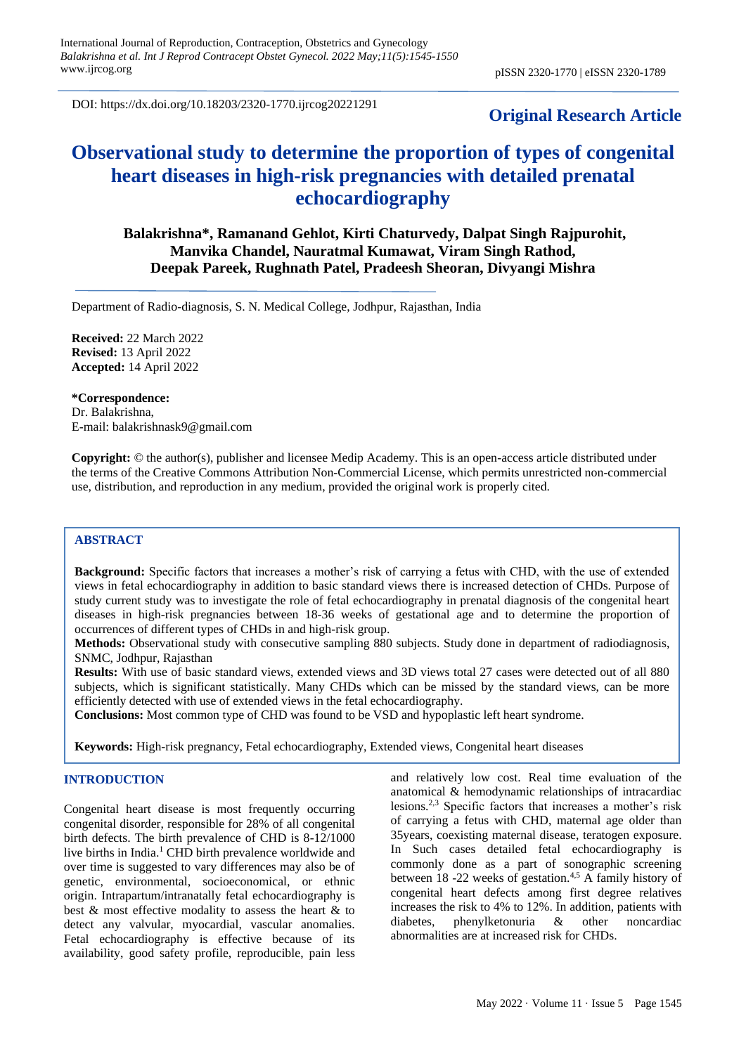DOI: https://dx.doi.org/10.18203/2320-1770.ijrcog20221291

## **Original Research Article**

# **Observational study to determine the proportion of types of congenital heart diseases in high-risk pregnancies with detailed prenatal echocardiography**

**Balakrishna\*, Ramanand Gehlot, Kirti Chaturvedy, Dalpat Singh Rajpurohit, Manvika Chandel, Nauratmal Kumawat, Viram Singh Rathod, Deepak Pareek, Rughnath Patel, Pradeesh Sheoran, Divyangi Mishra**

Department of Radio-diagnosis, S. N. Medical College, Jodhpur, Rajasthan, India

**Received:** 22 March 2022 **Revised:** 13 April 2022 **Accepted:** 14 April 2022

**\*Correspondence:** Dr. Balakrishna, E-mail: balakrishnask9@gmail.com

**Copyright:** © the author(s), publisher and licensee Medip Academy. This is an open-access article distributed under the terms of the Creative Commons Attribution Non-Commercial License, which permits unrestricted non-commercial use, distribution, and reproduction in any medium, provided the original work is properly cited.

## **ABSTRACT**

**Background:** Specific factors that increases a mother's risk of carrying a fetus with CHD, with the use of extended views in fetal echocardiography in addition to basic standard views there is increased detection of CHDs. Purpose of study current study was to investigate the role of fetal echocardiography in prenatal diagnosis of the congenital heart diseases in high-risk pregnancies between 18-36 weeks of gestational age and to determine the proportion of occurrences of different types of CHDs in and high-risk group.

**Methods:** Observational study with consecutive sampling 880 subjects. Study done in department of radiodiagnosis, SNMC, Jodhpur, Rajasthan

**Results:** With use of basic standard views, extended views and 3D views total 27 cases were detected out of all 880 subjects, which is significant statistically. Many CHDs which can be missed by the standard views, can be more efficiently detected with use of extended views in the fetal echocardiography.

**Conclusions:** Most common type of CHD was found to be VSD and hypoplastic left heart syndrome.

**Keywords:** High-risk pregnancy, Fetal echocardiography, Extended views, Congenital heart diseases

## **INTRODUCTION**

Congenital heart disease is most frequently occurring congenital disorder, responsible for 28% of all congenital birth defects. The birth prevalence of CHD is 8-12/1000 live births in India.<sup>1</sup> CHD birth prevalence worldwide and over time is suggested to vary differences may also be of genetic, environmental, socioeconomical, or ethnic origin. Intrapartum/intranatally fetal echocardiography is best & most effective modality to assess the heart & to detect any valvular, myocardial, vascular anomalies. Fetal echocardiography is effective because of its availability, good safety profile, reproducible, pain less and relatively low cost. Real time evaluation of the anatomical & hemodynamic relationships of intracardiac lesions.2,3 Specific factors that increases a mother's risk of carrying a fetus with CHD, maternal age older than 35years, coexisting maternal disease, teratogen exposure. In Such cases detailed fetal echocardiography is commonly done as a part of sonographic screening between 18 -22 weeks of gestation.<sup>4,5</sup> A family history of congenital heart defects among first degree relatives increases the risk to 4% to 12%. In addition, patients with diabetes, phenylketonuria & other noncardiac abnormalities are at increased risk for CHDs.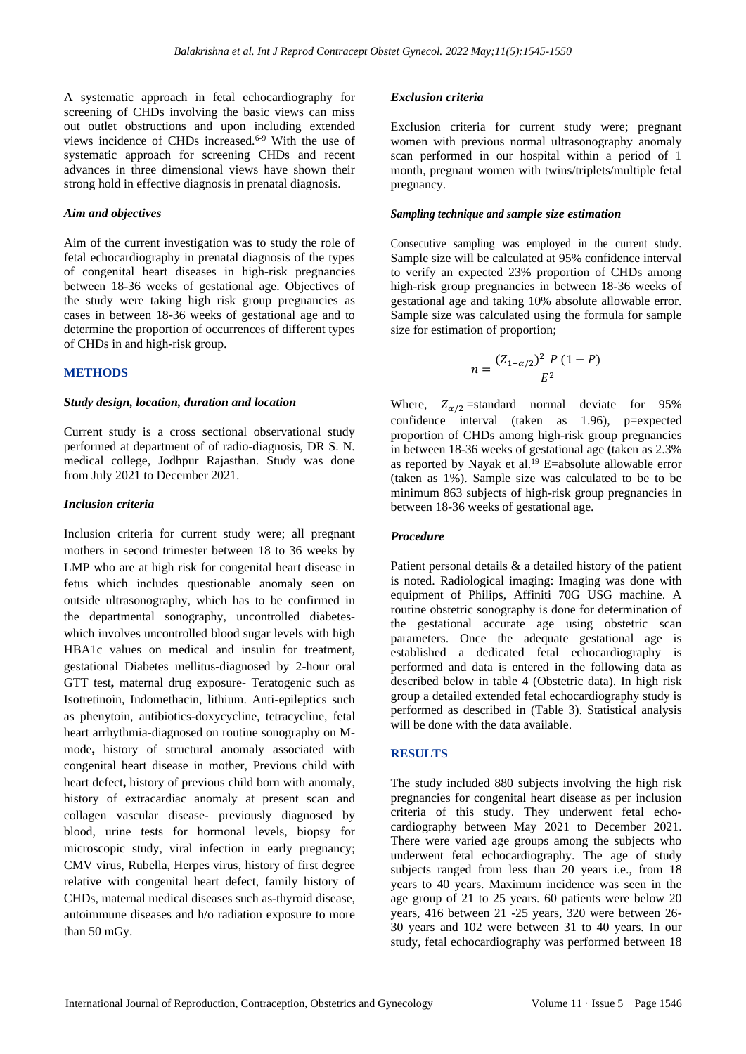A systematic approach in fetal echocardiography for screening of CHDs involving the basic views can miss out outlet obstructions and upon including extended views incidence of CHDs increased.<sup>6-9</sup> With the use of systematic approach for screening CHDs and recent advances in three dimensional views have shown their strong hold in effective diagnosis in prenatal diagnosis.

### *Aim and objectives*

Aim of the current investigation was to study the role of fetal echocardiography in prenatal diagnosis of the types of congenital heart diseases in high-risk pregnancies between 18-36 weeks of gestational age. Objectives of the study were taking high risk group pregnancies as cases in between 18-36 weeks of gestational age and to determine the proportion of occurrences of different types of CHDs in and high-risk group.

## **METHODS**

#### *Study design, location, duration and location*

Current study is a cross sectional observational study performed at department of of radio-diagnosis, DR S. N. medical college, Jodhpur Rajasthan. Study was done from July 2021 to December 2021.

#### *Inclusion criteria*

Inclusion criteria for current study were; all pregnant mothers in second trimester between 18 to 36 weeks by LMP who are at high risk for congenital heart disease in fetus which includes questionable anomaly seen on outside ultrasonography, which has to be confirmed in the departmental sonography, uncontrolled diabeteswhich involves uncontrolled blood sugar levels with high HBA1c values on medical and insulin for treatment, gestational Diabetes mellitus-diagnosed by 2-hour oral GTT test**,** maternal drug exposure- Teratogenic such as Isotretinoin, Indomethacin, lithium. Anti-epileptics such as phenytoin, antibiotics-doxycycline, tetracycline, fetal heart arrhythmia-diagnosed on routine sonography on Mmode**,** history of structural anomaly associated with congenital heart disease in mother, Previous child with heart defect**,** history of previous child born with anomaly, history of extracardiac anomaly at present scan and collagen vascular disease- previously diagnosed by blood, urine tests for hormonal levels, biopsy for microscopic study, viral infection in early pregnancy; CMV virus, Rubella, Herpes virus, history of first degree relative with congenital heart defect, family history of CHDs, maternal medical diseases such as-thyroid disease, autoimmune diseases and h/o radiation exposure to more than 50 mGy.

#### *Exclusion criteria*

Exclusion criteria for current study were; pregnant women with previous normal ultrasonography anomaly scan performed in our hospital within a period of 1 month, pregnant women with twins/triplets/multiple fetal pregnancy.

## *Sampling technique and sample size estimation*

Consecutive sampling was employed in the current study. Sample size will be calculated at 95% confidence interval to verify an expected 23% proportion of CHDs among high-risk group pregnancies in between 18-36 weeks of gestational age and taking 10% absolute allowable error. Sample size was calculated using the formula for sample size for estimation of proportion;

$$
n = \frac{(Z_{1-\alpha/2})^2 \ P \ (1-P)}{E^2}
$$

Where,  $Z_{\alpha/2}$  =standard normal deviate for 95% confidence interval (taken as 1.96), p=expected proportion of CHDs among high-risk group pregnancies in between 18-36 weeks of gestational age (taken as 2.3% as reported by Nayak et al. <sup>19</sup> E=absolute allowable error (taken as 1%). Sample size was calculated to be to be minimum 863 subjects of high-risk group pregnancies in between 18-36 weeks of gestational age.

#### *Procedure*

Patient personal details & a detailed history of the patient is noted. Radiological imaging: Imaging was done with equipment of Philips, Affiniti 70G USG machine. A routine obstetric sonography is done for determination of the gestational accurate age using obstetric scan parameters. Once the adequate gestational age is established a dedicated fetal echocardiography is performed and data is entered in the following data as described below in table 4 (Obstetric data). In high risk group a detailed extended fetal echocardiography study is performed as described in (Table 3). Statistical analysis will be done with the data available.

## **RESULTS**

The study included 880 subjects involving the high risk pregnancies for congenital heart disease as per inclusion criteria of this study. They underwent fetal echocardiography between May 2021 to December 2021. There were varied age groups among the subjects who underwent fetal echocardiography. The age of study subjects ranged from less than 20 years i.e., from 18 years to 40 years. Maximum incidence was seen in the age group of 21 to 25 years. 60 patients were below 20 years, 416 between 21 -25 years, 320 were between 26- 30 years and 102 were between 31 to 40 years. In our study, fetal echocardiography was performed between 18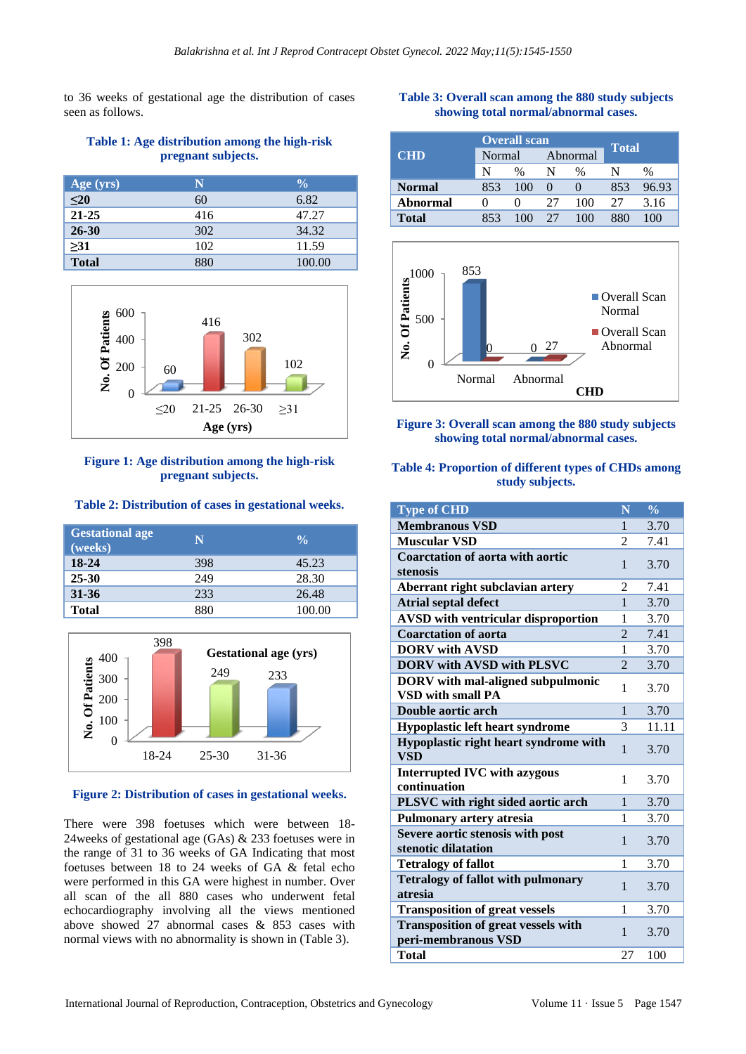to 36 weeks of gestational age the distribution of cases seen as follows.

## **Table 1: Age distribution among the high-risk pregnant subjects.**

| Age (yrs)    | N   | $\frac{0}{0}$ |
|--------------|-----|---------------|
| $\leq 20$    | 60  | 6.82          |
| 21-25        | 416 | 47.27         |
| 26-30        | 302 | 34.32         |
| >31          | 102 | 11.59         |
| <b>Total</b> | 880 | 100.00        |



## **Figure 1: Age distribution among the high-risk pregnant subjects.**

## **Table 2: Distribution of cases in gestational weeks.**

| <b>Gestational age</b><br>(weeks) | N   | $\frac{0}{0}$ |
|-----------------------------------|-----|---------------|
| 18-24                             | 398 | 45.23         |
| $25 - 30$                         | 249 | 28.30         |
| $31 - 36$                         | 233 | 26.48         |
| <b>Total</b>                      | 880 | 100.00        |



## **Figure 2: Distribution of cases in gestational weeks.**

There were 398 foetuses which were between 18- 24weeks of gestational age (GAs) & 233 foetuses were in the range of 31 to 36 weeks of GA Indicating that most foetuses between 18 to 24 weeks of GA & fetal echo were performed in this GA were highest in number. Over all scan of the all 880 cases who underwent fetal echocardiography involving all the views mentioned above showed 27 abnormal cases & 853 cases with normal views with no abnormality is shown in (Table 3).

## **Table 3: Overall scan among the 880 study subjects showing total normal/abnormal cases.**

| <b>CHD</b>    | <b>Overall scan</b> |               |          |      |       |       |
|---------------|---------------------|---------------|----------|------|-------|-------|
|               | Normal              |               | Abnormal |      | Total |       |
|               | N                   | $\frac{0}{0}$ |          | $\%$ |       | %     |
| <b>Normal</b> | 853                 | 100           |          |      | 853   | 96.93 |
| Abnormal      |                     |               | 27       | 100  | 27    | 3.16  |
| Total         | 853                 |               | 77       | 100  |       |       |



## **Figure 3: Overall scan among the 880 study subjects showing total normal/abnormal cases.**

## **Table 4: Proportion of different types of CHDs among study subjects.**

| <b>Type of CHD</b>                                                   | $\mathbf N$    | $\frac{0}{0}$ |
|----------------------------------------------------------------------|----------------|---------------|
| <b>Membranous VSD</b>                                                | $\mathbf{1}$   | 3.70          |
| <b>Muscular VSD</b>                                                  | 2              | 7.41          |
| <b>Coarctation of aorta with aortic</b><br>stenosis                  | $\mathbf{1}$   | 3.70          |
| Aberrant right subclavian artery                                     | 2              | 7.41          |
| <b>Atrial septal defect</b>                                          | $\mathbf{1}$   | 3.70          |
| <b>AVSD</b> with ventricular disproportion                           | 1              | 3.70          |
| <b>Coarctation of aorta</b>                                          | $\overline{2}$ | 7.41          |
| <b>DORV</b> with AVSD                                                | 1              | 3.70          |
| <b>DORV with AVSD with PLSVC</b>                                     | $\overline{2}$ | 3.70          |
| <b>DORV</b> with mal-aligned subpulmonic<br><b>VSD with small PA</b> | 1              | 3.70          |
| Double aortic arch                                                   | $\mathbf{1}$   | 3.70          |
| <b>Hypoplastic left heart syndrome</b>                               | 3              | 11.11         |
| Hypoplastic right heart syndrome with<br><b>VSD</b>                  | $\mathbf{1}$   | 3.70          |
| <b>Interrupted IVC with azygous</b><br>continuation                  | 1              | 3.70          |
| PLSVC with right sided aortic arch                                   | $\mathbf{1}$   | 3.70          |
| <b>Pulmonary artery atresia</b>                                      | 1              | 3.70          |
| Severe aortic stenosis with post<br>stenotic dilatation              | $\mathbf{1}$   | 3.70          |
| <b>Tetralogy of fallot</b>                                           | 1              | 3.70          |
| <b>Tetralogy of fallot with pulmonary</b><br>atresia                 | $\mathbf{1}$   | 3.70          |
| <b>Transposition of great vessels</b>                                | 1              | 3.70          |
| <b>Transposition of great vessels with</b><br>peri-membranous VSD    | $\mathbf{1}$   | 3.70          |
| <b>Total</b>                                                         | 27             | 100           |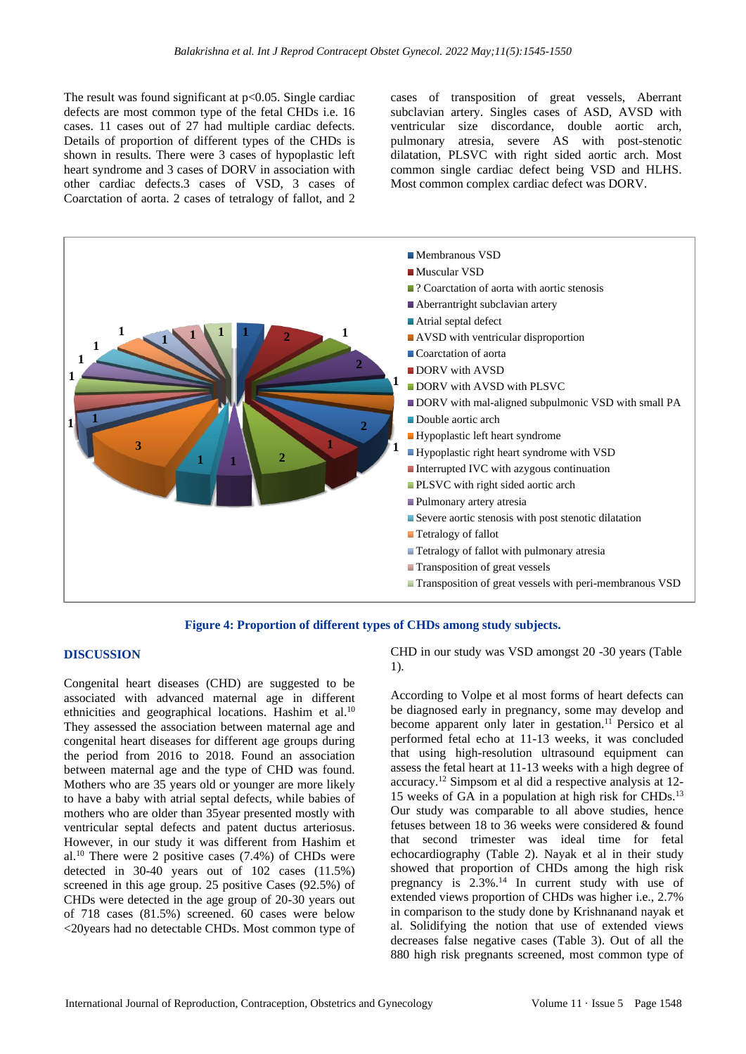The result was found significant at  $p<0.05$ . Single cardiac defects are most common type of the fetal CHDs i.e. 16 cases. 11 cases out of 27 had multiple cardiac defects. Details of proportion of different types of the CHDs is shown in results. There were 3 cases of hypoplastic left heart syndrome and 3 cases of DORV in association with other cardiac defects.3 cases of VSD, 3 cases of Coarctation of aorta. 2 cases of tetralogy of fallot, and 2 cases of transposition of great vessels, Aberrant subclavian artery. Singles cases of ASD, AVSD with ventricular size discordance, double aortic arch, pulmonary atresia, severe AS with post-stenotic dilatation, PLSVC with right sided aortic arch. Most common single cardiac defect being VSD and HLHS. Most common complex cardiac defect was DORV.



## **Figure 4: Proportion of different types of CHDs among study subjects.**

## **DISCUSSION**

Congenital heart diseases (CHD) are suggested to be associated with advanced maternal age in different ethnicities and geographical locations. Hashim et al.<sup>10</sup> They assessed the association between maternal age and congenital heart diseases for different age groups during the period from 2016 to 2018. Found an association between maternal age and the type of CHD was found. Mothers who are 35 years old or younger are more likely to have a baby with atrial septal defects, while babies of mothers who are older than 35year presented mostly with ventricular septal defects and patent ductus arteriosus. However, in our study it was different from Hashim et al.<sup>10</sup> There were 2 positive cases  $(7.4%)$  of CHDs were detected in  $30-40$  years out of  $102$  cases  $(11.5\%)$ screened in this age group. 25 positive Cases (92.5%) of CHDs were detected in the age group of 20-30 years out of 718 cases (81.5%) screened. 60 cases were below <20years had no detectable CHDs. Most common type of CHD in our study was VSD amongst 20 -30 years (Table 1).

According to Volpe et al most forms of heart defects can be diagnosed early in pregnancy, some may develop and become apparent only later in gestation.<sup>11</sup> Persico et al performed fetal echo at 11-13 weeks, it was concluded that using high-resolution ultrasound equipment can assess the fetal heart at 11-13 weeks with a high degree of accuracy.<sup>12</sup> Simpsom et al did a respective analysis at 12- 15 weeks of GA in a population at high risk for CHDs.<sup>13</sup> Our study was comparable to all above studies, hence fetuses between 18 to 36 weeks were considered & found that second trimester was ideal time for fetal echocardiography (Table 2). Nayak et al in their study showed that proportion of CHDs among the high risk pregnancy is 2.3%.<sup>14</sup> In current study with use of extended views proportion of CHDs was higher i.e., 2.7% in comparison to the study done by Krishnanand nayak et al. Solidifying the notion that use of extended views decreases false negative cases (Table 3). Out of all the 880 high risk pregnants screened, most common type of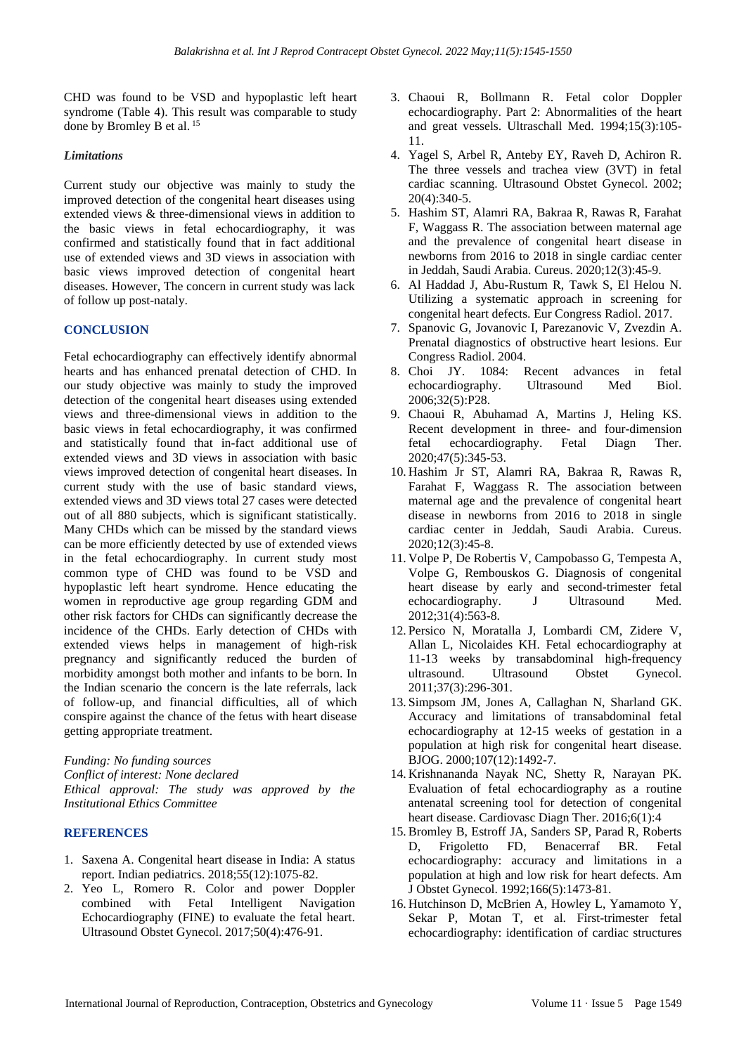CHD was found to be VSD and hypoplastic left heart syndrome (Table 4). This result was comparable to study done by Bromley B et al. 15

## *Limitations*

Current study our objective was mainly to study the improved detection of the congenital heart diseases using extended views & three-dimensional views in addition to the basic views in fetal echocardiography, it was confirmed and statistically found that in fact additional use of extended views and 3D views in association with basic views improved detection of congenital heart diseases. However, The concern in current study was lack of follow up post-nataly.

## **CONCLUSION**

Fetal echocardiography can effectively identify abnormal hearts and has enhanced prenatal detection of CHD. In our study objective was mainly to study the improved detection of the congenital heart diseases using extended views and three-dimensional views in addition to the basic views in fetal echocardiography, it was confirmed and statistically found that in-fact additional use of extended views and 3D views in association with basic views improved detection of congenital heart diseases. In current study with the use of basic standard views, extended views and 3D views total 27 cases were detected out of all 880 subjects, which is significant statistically. Many CHDs which can be missed by the standard views can be more efficiently detected by use of extended views in the fetal echocardiography. In current study most common type of CHD was found to be VSD and hypoplastic left heart syndrome. Hence educating the women in reproductive age group regarding GDM and other risk factors for CHDs can significantly decrease the incidence of the CHDs. Early detection of CHDs with extended views helps in management of high-risk pregnancy and significantly reduced the burden of morbidity amongst both mother and infants to be born. In the Indian scenario the concern is the late referrals, lack of follow-up, and financial difficulties, all of which conspire against the chance of the fetus with heart disease getting appropriate treatment.

*Funding: No funding sources Conflict of interest: None declared Ethical approval: The study was approved by the Institutional Ethics Committee*

## **REFERENCES**

- 1. Saxena A. Congenital heart disease in India: A status report. Indian pediatrics. 2018;55(12):1075-82.
- 2. Yeo L, Romero R. Color and power Doppler combined with Fetal Intelligent Navigation Echocardiography (FINE) to evaluate the fetal heart. Ultrasound Obstet Gynecol. 2017;50(4):476-91.
- 3. Chaoui R, Bollmann R. Fetal color Doppler echocardiography. Part 2: Abnormalities of the heart and great vessels. Ultraschall Med. 1994;15(3):105- 11.
- 4. Yagel S, Arbel R, Anteby EY, Raveh D, Achiron R. The three vessels and trachea view (3VT) in fetal cardiac scanning. Ultrasound Obstet Gynecol. 2002; 20(4):340-5.
- 5. Hashim ST, Alamri RA, Bakraa R, Rawas R, Farahat F, Waggass R. The association between maternal age and the prevalence of congenital heart disease in newborns from 2016 to 2018 in single cardiac center in Jeddah, Saudi Arabia. Cureus. 2020;12(3):45-9.
- 6. Al Haddad J, Abu-Rustum R, Tawk S, El Helou N. Utilizing a systematic approach in screening for congenital heart defects. Eur Congress Radiol. 2017.
- 7. Spanovic G, Jovanovic I, Parezanovic V, Zvezdin A. Prenatal diagnostics of obstructive heart lesions. Eur Congress Radiol. 2004.
- 8. Choi JY. 1084: Recent advances in fetal echocardiography. Ultrasound Med Biol. 2006;32(5):P28.
- 9. Chaoui R, Abuhamad A, Martins J, Heling KS. Recent development in three- and four-dimension fetal echocardiography. Fetal Diagn Ther. 2020;47(5):345-53.
- 10. Hashim Jr ST, Alamri RA, Bakraa R, Rawas R, Farahat F, Waggass R. The association between maternal age and the prevalence of congenital heart disease in newborns from 2016 to 2018 in single cardiac center in Jeddah, Saudi Arabia. Cureus. 2020;12(3):45-8.
- 11. Volpe P, De Robertis V, Campobasso G, Tempesta A, Volpe G, Rembouskos G. Diagnosis of congenital heart disease by early and second-trimester fetal echocardiography. J Ultrasound Med. 2012;31(4):563-8.
- 12. Persico N, Moratalla J, Lombardi CM, Zidere V, Allan L, Nicolaides KH. Fetal echocardiography at 11-13 weeks by transabdominal high-frequency ultrasound. Ultrasound Obstet Gynecol. 2011;37(3):296-301.
- 13. Simpsom JM, Jones A, Callaghan N, Sharland GK. Accuracy and limitations of transabdominal fetal echocardiography at 12-15 weeks of gestation in a population at high risk for congenital heart disease. BJOG. 2000;107(12):1492-7.
- 14. Krishnananda Nayak NC, Shetty R, Narayan PK. Evaluation of fetal echocardiography as a routine antenatal screening tool for detection of congenital heart disease. Cardiovasc Diagn Ther. 2016;6(1):4
- 15. Bromley B, Estroff JA, Sanders SP, Parad R, Roberts D, Frigoletto FD, Benacerraf BR. Fetal echocardiography: accuracy and limitations in a population at high and low risk for heart defects. Am J Obstet Gynecol. 1992;166(5):1473-81.
- 16. Hutchinson D, McBrien A, Howley L, Yamamoto Y, Sekar P, Motan T, et al. First-trimester fetal echocardiography: identification of cardiac structures